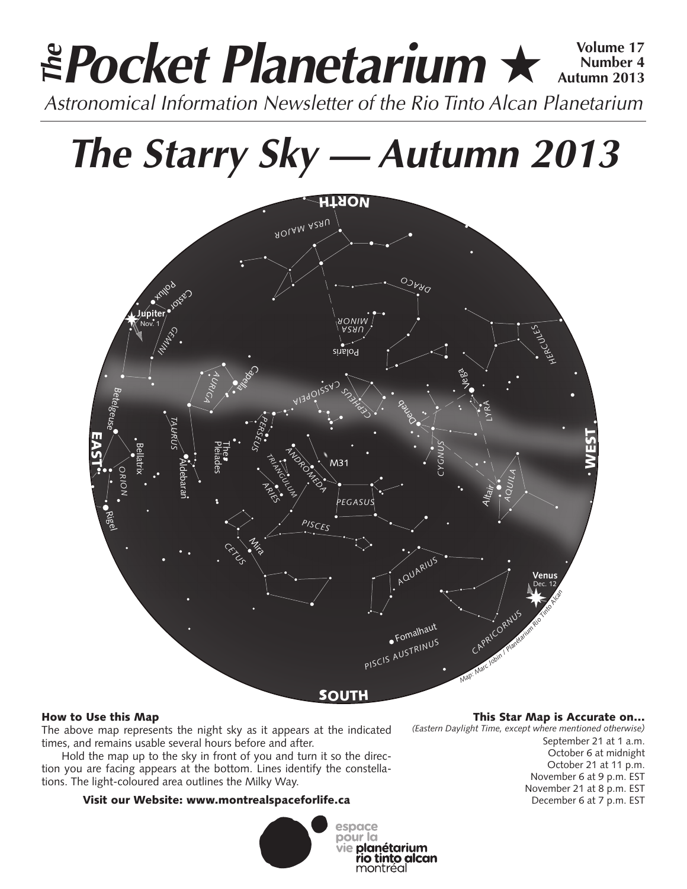# **Pocket Planetarium ★**  $\frac{\text{Volume }17}{\text{Number }4}$ **Number 4 Autumn 2013 EPocket Planetarium**  $\star$  Number 4<br>Astronomical Information Newsletter of the Rio Tinto Alcan Planetarium

# **The Starry Sky — Autumn 2013**



# How to Use this Map

The above map represents the night sky as it appears at the indicated times, and remains usable several hours before and after.

Hold the map up to the sky in front of you and turn it so the direction you are facing appears at the bottom. Lines identify the constellations. The light-coloured area outlines the Milky Way.

# Visit our Website: www.montrealspaceforlife.ca



## This Star Map is Accurate on…

*(Eastern Daylight Time, except where mentioned otherwise)*

September 21 at 1 a.m. October 6 at midnight October 21 at 11 p.m. November 6 at 9 p.m. EST November 21 at 8 p.m. EST December 6 at 7 p.m. EST